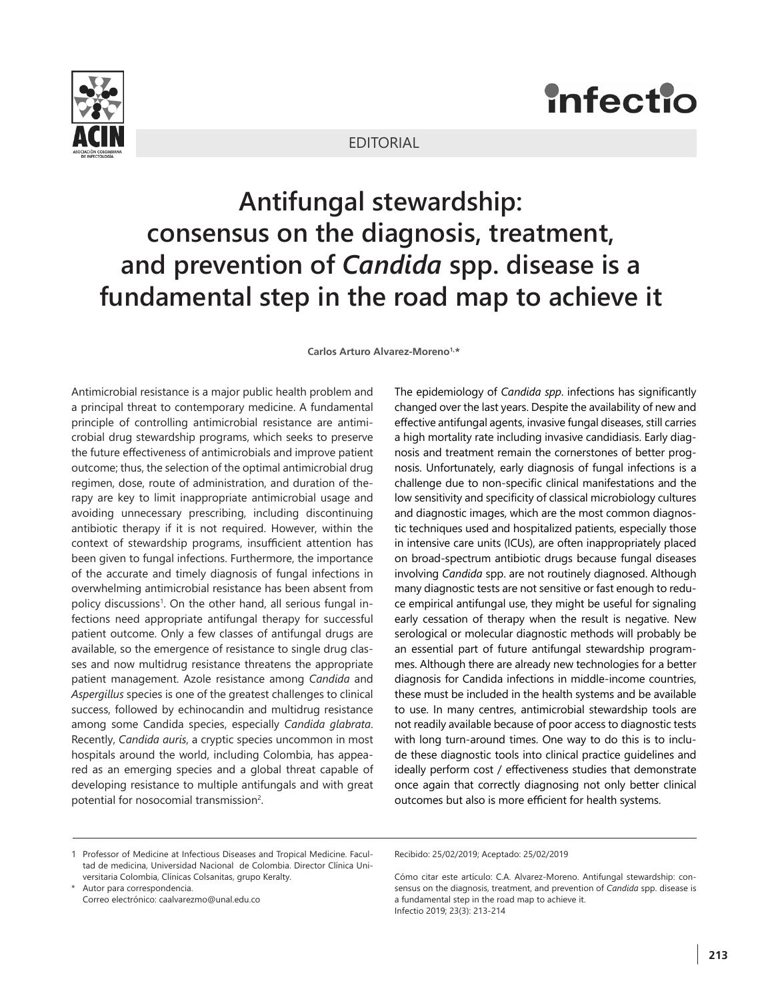

## **infectio**

## EDITORIAL

## **Antifungal stewardship: consensus on the diagnosis, treatment, and prevention of** *Candida* **spp. disease is a fundamental step in the road map to achieve it**

Carlos Arturo Alvarez-Moreno1,\*

Antimicrobial resistance is a major public health problem and a principal threat to contemporary medicine. A fundamental principle of controlling antimicrobial resistance are antimicrobial drug stewardship programs, which seeks to preserve the future effectiveness of antimicrobials and improve patient outcome; thus, the selection of the optimal antimicrobial drug regimen, dose, route of administration, and duration of therapy are key to limit inappropriate antimicrobial usage and avoiding unnecessary prescribing, including discontinuing antibiotic therapy if it is not required. However, within the context of stewardship programs, insufficient attention has been given to fungal infections. Furthermore, the importance of the accurate and timely diagnosis of fungal infections in overwhelming antimicrobial resistance has been absent from policy discussions<sup>1</sup>. On the other hand, all serious fungal infections need appropriate antifungal therapy for successful patient outcome. Only a few classes of antifungal drugs are available, so the emergence of resistance to single drug classes and now multidrug resistance threatens the appropriate patient management. Azole resistance among *Candida* and *Aspergillus* species is one of the greatest challenges to clinical success, followed by echinocandin and multidrug resistance among some Candida species, especially *Candida glabrata*. Recently, *Candida auris*, a cryptic species uncommon in most hospitals around the world, including Colombia, has appeared as an emerging species and a global threat capable of developing resistance to multiple antifungals and with great potential for nosocomial transmission<sup>2</sup>.

The epidemiology of *Candida spp*. infections has significantly changed over the last years. Despite the availability of new and effective antifungal agents, invasive fungal diseases, still carries a high mortality rate including invasive candidiasis. Early diagnosis and treatment remain the cornerstones of better prognosis. Unfortunately, early diagnosis of fungal infections is a challenge due to non-specific clinical manifestations and the low sensitivity and specificity of classical microbiology cultures and diagnostic images, which are the most common diagnostic techniques used and hospitalized patients, especially those in intensive care units (ICUs), are often inappropriately placed on broad-spectrum antibiotic drugs because fungal diseases involving *Candida* spp. are not routinely diagnosed. Although many diagnostic tests are not sensitive or fast enough to reduce empirical antifungal use, they might be useful for signaling early cessation of therapy when the result is negative. New serological or molecular diagnostic methods will probably be an essential part of future antifungal stewardship programmes. Although there are already new technologies for a better diagnosis for Candida infections in middle-income countries, these must be included in the health systems and be available to use. In many centres, antimicrobial stewardship tools are not readily available because of poor access to diagnostic tests with long turn-around times. One way to do this is to include these diagnostic tools into clinical practice guidelines and ideally perform cost / effectiveness studies that demonstrate once again that correctly diagnosing not only better clinical outcomes but also is more efficient for health systems.

\* Autor para correspondencia. Correo electrónico: caalvarezmo@unal.edu.co Recibido: 25/02/2019; Aceptado: 25/02/2019

Cómo citar este artículo: C.A. Alvarez-Moreno. Antifungal stewardship: consensus on the diagnosis, treatment, and prevention of *Candida* spp. disease is a fundamental step in the road map to achieve it. Infectio 2019; 23(3): 213-214

<sup>1</sup> Professor of Medicine at Infectious Diseases and Tropical Medicine. Facultad de medicina, Universidad Nacional de Colombia. Director Clínica Universitaria Colombia, Clínicas Colsanitas, grupo Keralty.